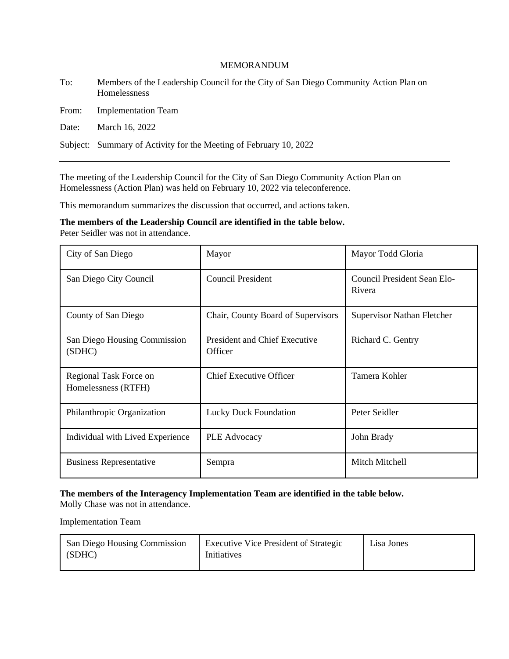#### MEMORANDUM

To: Members of the Leadership Council for the City of San Diego Community Action Plan on Homelessness

From: Implementation Team

Date: March 16, 2022

Subject: Summary of Activity for the Meeting of February 10, 2022

The meeting of the Leadership Council for the City of San Diego Community Action Plan on Homelessness (Action Plan) was held on February 10, 2022 via teleconference.

This memorandum summarizes the discussion that occurred, and actions taken.

**The members of the Leadership Council are identified in the table below.** Peter Seidler was not in attendance.

| City of San Diego                             | Mayor                                           | Mayor Todd Gloria                     |
|-----------------------------------------------|-------------------------------------------------|---------------------------------------|
| San Diego City Council                        | <b>Council President</b>                        | Council President Sean Elo-<br>Rivera |
| County of San Diego                           | Chair, County Board of Supervisors              | <b>Supervisor Nathan Fletcher</b>     |
| San Diego Housing Commission<br>(SDHC)        | <b>President and Chief Executive</b><br>Officer | Richard C. Gentry                     |
| Regional Task Force on<br>Homelessness (RTFH) | <b>Chief Executive Officer</b>                  | Tamera Kohler                         |
| Philanthropic Organization                    | <b>Lucky Duck Foundation</b>                    | Peter Seidler                         |
| Individual with Lived Experience              | <b>PLE Advocacy</b>                             | John Brady                            |
| <b>Business Representative</b>                | Sempra                                          | Mitch Mitchell                        |

### **The members of the Interagency Implementation Team are identified in the table below.**

Molly Chase was not in attendance.

Implementation Team

| San Diego Housing Commission<br>(SDHC) | <b>Executive Vice President of Strategic</b><br>Initiatives | Lisa Jones |
|----------------------------------------|-------------------------------------------------------------|------------|
|                                        |                                                             |            |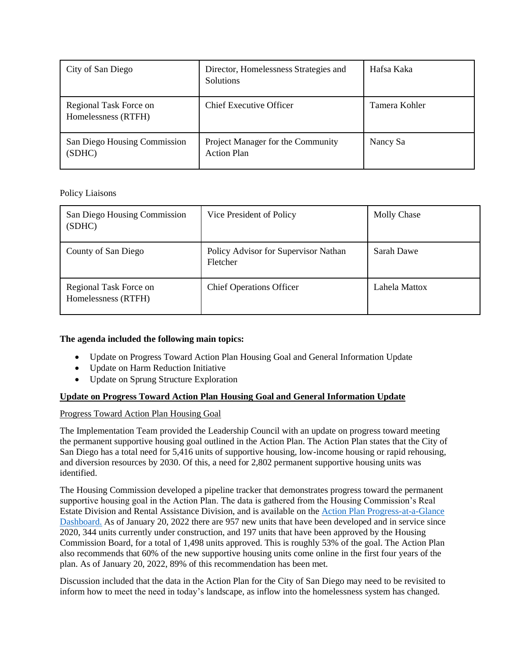| City of San Diego                             | Director, Homelessness Strategies and<br><b>Solutions</b> | Hafsa Kaka    |
|-----------------------------------------------|-----------------------------------------------------------|---------------|
| Regional Task Force on<br>Homelessness (RTFH) | <b>Chief Executive Officer</b>                            | Tamera Kohler |
| San Diego Housing Commission<br>(SDHC)        | Project Manager for the Community<br><b>Action Plan</b>   | Nancy Sa      |

### Policy Liaisons

| San Diego Housing Commission<br>(SDHC)        | Vice President of Policy                         | <b>Molly Chase</b> |
|-----------------------------------------------|--------------------------------------------------|--------------------|
| County of San Diego                           | Policy Advisor for Supervisor Nathan<br>Fletcher | Sarah Dawe         |
| Regional Task Force on<br>Homelessness (RTFH) | <b>Chief Operations Officer</b>                  | Lahela Mattox      |

# **The agenda included the following main topics:**

- Update on Progress Toward Action Plan Housing Goal and General Information Update
- Update on Harm Reduction Initiative
- Update on Sprung Structure Exploration

# **Update on Progress Toward Action Plan Housing Goal and General Information Update**

### Progress Toward Action Plan Housing Goal

The Implementation Team provided the Leadership Council with an update on progress toward meeting the permanent supportive housing goal outlined in the Action Plan. The Action Plan states that the City of San Diego has a total need for 5,416 units of supportive housing, low-income housing or rapid rehousing, and diversion resources by 2030. Of this, a need for 2,802 permanent supportive housing units was identified.

The Housing Commission developed a pipeline tracker that demonstrates progress toward the permanent supportive housing goal in the Action Plan. The data is gathered from the Housing Commission's Real Estate Division and Rental Assistance Division, and is available on th[e Action Plan Progress-at-a-Glance](https://www.sdhc.org/homelessness-solutions/community-action-plan/overview/)  [Dashboard.](https://www.sdhc.org/homelessness-solutions/community-action-plan/overview/) As of January 20, 2022 there are 957 new units that have been developed and in service since 2020, 344 units currently under construction, and 197 units that have been approved by the Housing Commission Board, for a total of 1,498 units approved. This is roughly 53% of the goal. The Action Plan also recommends that 60% of the new supportive housing units come online in the first four years of the plan. As of January 20, 2022, 89% of this recommendation has been met.

Discussion included that the data in the Action Plan for the City of San Diego may need to be revisited to inform how to meet the need in today's landscape, as inflow into the homelessness system has changed.